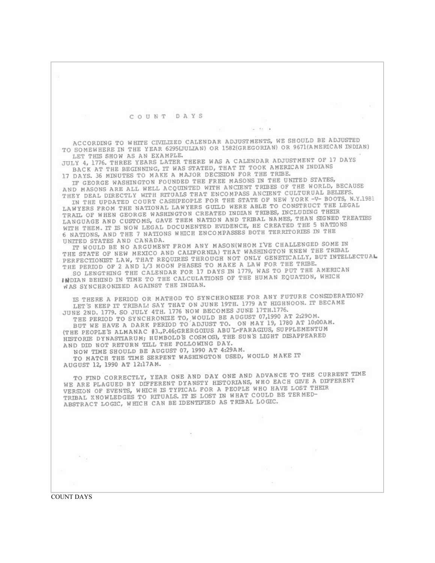COUNT DAYS

ACCORDING TO WHITE CIVILIZED CALENDAR ADJUSTMENTS, WE SHOULD BE ADJUSTED TO SOMEWHERE IN THE YEAR 6295(JULIAN) OR 1582(GREGORIAN) OR 9671(AMERICAN INDIAN) LET THIS SHOW AS AN EXAMPLE.

50 MW G

JULY 4, 1776. THREE YEARS LATER THERE WAS A CALENDAR ADJUSTMENT OF 17 DAYS BACK AT THE BEGINNING, IT WAS STATED, THAT IT TOOK AMERICAN INDIANS 17 DAYS, 36 MINUTES TO MAKE A MAJOR DECISION FOR THE TRIBE.

IF GEORGE WASHINGTON FOUNDED THE FREE MASONS IN THE UNITED STATES, AND MASONS ARE ALL WELL ACQUINTED WITH ANCIENT TRIBES OF THE WORLD, BECAUSE THEY DEAL DIRECTLY WITH RITUALS THAT ENCOMPASS ANCIENT CULTURUAL BELIEFS.

IN THE UPDATED COURT CASE(PEOPLE FOR THE STATE OF NEW YORK -V- BOOTS, N.Y.1981 LAWYERS FROM THE NATIONAL LAWYERS GUILD WERE ABLE TO CONSTRUCT THE LEGAL TRAIL OF WHEN GEORGE WASHINGTON CREATED INDIAN TRIBES, INCLUDING THEIR LANGUAGE AND CUSTOMS, GAVE THEM NATION AND TRIBAL NAMES, THAN SIGNED TREATIES WITH THEM. IT IS NOW LEGAL DOCUMENTED EVIDENCE, HE CREATED THE 5 NATIONS 6 NATIONS, AND THE 7 NATIONS WHICH ENCOMPASSES BOTH TERRITORIES IN THE UNITED STATES AND CANADA.

IT WOULD BE NO ARGUMENT FROM ANY MASON(WHOM I'VE CHALLENGED SOME IN THE STATE OF NEW MEXICO AND CALIFORNIA) THAT WASHINGTON KNEW THE TRIBAL PERFECTIONIST LAW, THAT REQUIRES THROUGH NOT ONLY GENETICALLY, BUT INTELLECTUAL THE PERIOD OF 2 AND 1/3 MOON PHASES TO MAKE A LAW FOR THE TRIBE.

SO LENGTHING THE CALENDAR FOR 17 DAYS IN 1779, WAS TO PUT THE AMERICAN INDIAN BEHIND IN TIME TO THE CALCULATIONS OF THE HUMAN EQUATION, WHICH WAS SYNCHRONIZED AGAINST THE INDIAN.

IS THERE A PERIOD OR MATHOD TO SYNCHRONIZE FOR ANY FUTURE CONSIDERATION? LET'S KEEP IT TRIBAL! SAY THAT ON JUNE 19TH. 1779 AT HIGHNOON. IT BECAME JUNE 2ND. 1779. SO JULY 4TH. 1776 NOW BECOMES JUNE 17TH.1776.

THE PERIOD TO SYNCHRONIZE TO, WOULD BE AUGUST 07,1990 AT 2:290M. BUT WE HAVE A DARK PERIOD TO ADJUST TO. ON MAY 19, 1780 AT 10:00AM. (THE PEOPLE'S ALMANAC #3., P.46; GRERGOIUS ABU L-FARAGIUS, SUPPLEMENTUM HISTORIE DYNASTIARUM; HUMBOLD'S COSMOS), THE SUN'S LIGHT DISAPPEARED AND DID NOT RETURN TILL THE FOLLOWING DAY.

NOW TIME SHOULD BE AUGUST 07, 1990 AT 4:29AM.

TO MATCH THE TIME SERPENT WASHINGTON USED, WOULD MAKE IT AUGUST 12, 1990 AT 12:17AM.

TO FIND CORRECTLY, YEAR ONE AND DAY ONE AND ADVANCE TO THE CURRENT TIME WE ARE PLAGUED BY DIFFERENT DYANSTY HISTORIANS, WHO EACH GIVE A DIFFERENT VERSION OF EVENTS, WHICH IS TYPICAL FOR A PEOPLE WHO HAVE LOST THEIR TRIBAL KNOWLEDGES TO RITUALS. IT IS LOST IN WHAT COULD BE TERMED-ABSTRACT LOGIC, WHICH CAN BE IDENTIFIED AS TRIBAL LOGIC.

**COUNT DAYS** 

 $\sim$   $\sim$